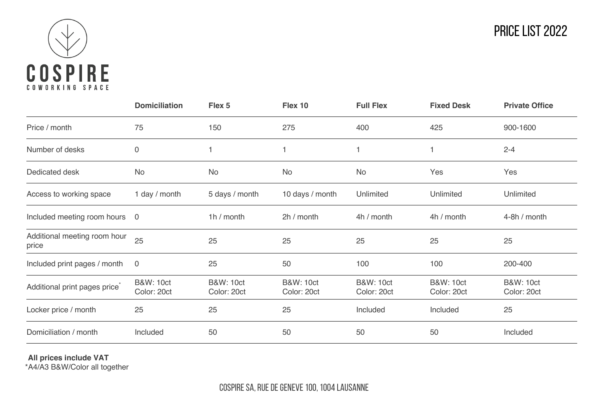

|                                           | <b>Domiciliation</b>                | Flex 5                              | Flex 10                             | <b>Full Flex</b>                    | <b>Fixed Desk</b>                   | <b>Private Office</b>               |
|-------------------------------------------|-------------------------------------|-------------------------------------|-------------------------------------|-------------------------------------|-------------------------------------|-------------------------------------|
| Price / month                             | 75                                  | 150                                 | 275                                 | 400                                 | 425                                 | 900-1600                            |
| Number of desks                           | 0                                   |                                     |                                     |                                     |                                     | $2 - 4$                             |
| Dedicated desk                            | <b>No</b>                           | No                                  | No                                  | No                                  | Yes                                 | Yes                                 |
| Access to working space                   | 1 day / month                       | 5 days / month                      | 10 days / month                     | Unlimited                           | Unlimited                           | Unlimited                           |
| Included meeting room hours 0             |                                     | 1h / month                          | 2h / month                          | 4h / month                          | 4h / month                          | 4-8h / month                        |
| Additional meeting room hour<br>price     | 25                                  | 25                                  | 25                                  | 25                                  | 25                                  | 25                                  |
| Included print pages / month              | $\overline{0}$                      | 25                                  | 50                                  | 100                                 | 100                                 | 200-400                             |
| Additional print pages price <sup>®</sup> | <b>B&amp;W: 10ct</b><br>Color: 20ct | <b>B&amp;W: 10ct</b><br>Color: 20ct | <b>B&amp;W: 10ct</b><br>Color: 20ct | <b>B&amp;W: 10ct</b><br>Color: 20ct | <b>B&amp;W: 10ct</b><br>Color: 20ct | <b>B&amp;W: 10ct</b><br>Color: 20ct |
| Locker price / month                      | 25                                  | 25                                  | 25                                  | Included                            | Included                            | 25                                  |
| Domiciliation / month                     | Included                            | 50                                  | 50                                  | 50                                  | 50                                  | Included                            |

**All prices include VAT** \*A4/A3 B&W/Color all together